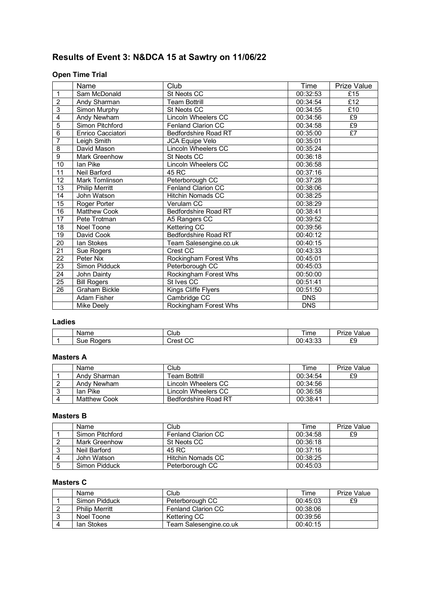# **Results of Event 3: N&DCA 15 at Sawtry on 11/06/22**

## **Open Time Trial**

|                 | Name                  | Club                        | Time       | Prize Value |
|-----------------|-----------------------|-----------------------------|------------|-------------|
| $\mathbf{1}$    | Sam McDonald          | St Neots CC                 | 00:32:53   | £15         |
| $\overline{2}$  | Andy Sharman          | <b>Team Bottrill</b>        | 00:34:54   | £12         |
| $\overline{3}$  | Simon Murphy          | St Neots CC                 | 00:34:55   | £10         |
| 4               | Andy Newham           | <b>Lincoln Wheelers CC</b>  | 00:34:56   | £9          |
| $\overline{5}$  | Simon Pitchford       | Fenland Clarion CC          | 00:34:58   | E9          |
| 6               | Enrico Cacciatori     | Bedfordshire Road RT        | 00:35:00   | $E$ 7       |
| $\overline{7}$  | Leigh Smith           | JCA Equipe Velo             | 00:35:01   |             |
| 8               | David Mason           | Lincoln Wheelers CC         | 00:35:24   |             |
| 9               | <b>Mark Greenhow</b>  | St Neots CC                 | 00:36:18   |             |
| 10              | Ian Pike              | Lincoln Wheelers CC         | 00:36:58   |             |
| $\overline{11}$ | Neil Barford          | 45 RC                       | 00:37:16   |             |
| 12              | <b>Mark Tomlinson</b> | Peterborough CC             | 00:37:28   |             |
| 13              | <b>Philip Merritt</b> | Fenland Clarion CC          | 00:38:06   |             |
| 14              | John Watson           | <b>Hitchin Nomads CC</b>    | 00:38:25   |             |
| $\overline{15}$ | Roger Porter          | Verulam CC                  | 00:38:29   |             |
| 16              | <b>Matthew Cook</b>   | Bedfordshire Road RT        | 00:38:41   |             |
| $\overline{17}$ | Pete Trotman          | A5 Rangers CC               | 00:39:52   |             |
| $\overline{18}$ | Noel Toone            | Kettering CC                | 00:39:56   |             |
| 19              | David Cook            | <b>Bedfordshire Road RT</b> | 00:40:12   |             |
| 20              | lan Stokes            | Team Salesengine.co.uk      | 00:40:15   |             |
| 21              | Sue Rogers            | Crest CC                    | 00:43:33   |             |
| $\overline{22}$ | Peter Nix             | Rockingham Forest Whs       | 00:45:01   |             |
| 23              | Simon Pidduck         | Peterborough CC             | 00:45:03   |             |
| $\overline{24}$ | John Dainty           | Rockingham Forest Whs       | 00:50:00   |             |
| 25              | <b>Bill Rogers</b>    | St Ives CC                  | 00:51:41   |             |
| 26              | <b>Graham Bickle</b>  | Kings Cliffe Flyers         | 00:51:50   |             |
|                 | <b>Adam Fisher</b>    | Cambridge CC                | <b>DNS</b> |             |
|                 | Mike Deely            | Rockingham Forest Whs       | <b>DNS</b> |             |

## **Ladies**

| Name          | Club                     | l ime                             | -<br>'rıze<br>Value |
|---------------|--------------------------|-----------------------------------|---------------------|
| Roders<br>Sue | $\sim$<br>′ restت<br>ັບປ | $\sim$<br>$\sim$<br>00:<br>.40.00 | r r<br>∘ u<br>ົ້    |

## **Masters A**

| Name         | Club                 | Time     | Prize Value |
|--------------|----------------------|----------|-------------|
| Andy Sharman | <b>Team Bottrill</b> | 00:34:54 | £9          |
| Andy Newham  | Lincoln Wheelers CC  | 00:34:56 |             |
| Ian Pike     | Lincoln Wheelers CC  | 00:36:58 |             |
| Matthew Cook | Bedfordshire Road RT | 00:38:41 |             |

## **Masters B**

|   | Name            | Club                      | Time     | <b>Prize Value</b> |
|---|-----------------|---------------------------|----------|--------------------|
|   | Simon Pitchford | <b>Fenland Clarion CC</b> | 00:34:58 | £9                 |
|   | Mark Greenhow   | St Neots CC               | 00:36:18 |                    |
| ື | Neil Barford    | 45 RC                     | 00:37:16 |                    |
|   | John Watson     | <b>Hitchin Nomads CC</b>  | 00:38:25 |                    |
|   | Simon Pidduck   | Peterborough CC           | 00:45:03 |                    |

## **Masters C**

| Name                  | Club                      | Time     | Prize Value |
|-----------------------|---------------------------|----------|-------------|
| Simon Pidduck         | Peterborough CC           | 00:45:03 | £9          |
| <b>Philip Merritt</b> | <b>Fenland Clarion CC</b> | 00:38:06 |             |
| Noel Toone            | Kettering CC              | 00:39:56 |             |
| lan Stokes            | Team Salesengine.co.uk    | 00:40:15 |             |